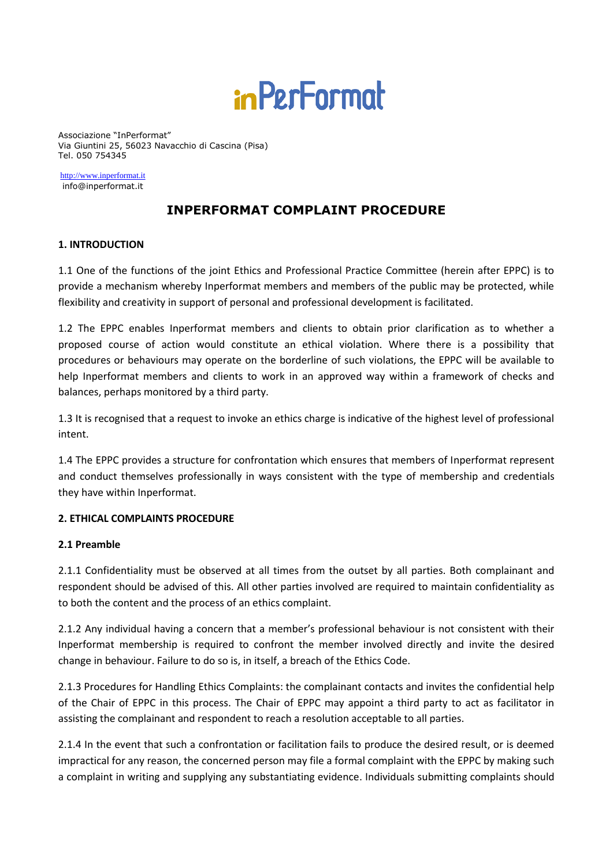

Associazione "InPerformat" Via Giuntini 25, 56023 Navacchio di Cascina (Pisa) Tel. 050 754345

[http://www.inperformat.it](http://www.inperformat.it/) info@inperformat.it

# **INPERFORMAT COMPLAINT PROCEDURE**

### **1. INTRODUCTION**

1.1 One of the functions of the joint Ethics and Professional Practice Committee (herein after EPPC) is to provide a mechanism whereby Inperformat members and members of the public may be protected, while flexibility and creativity in support of personal and professional development is facilitated.

1.2 The EPPC enables Inperformat members and clients to obtain prior clarification as to whether a proposed course of action would constitute an ethical violation. Where there is a possibility that procedures or behaviours may operate on the borderline of such violations, the EPPC will be available to help Inperformat members and clients to work in an approved way within a framework of checks and balances, perhaps monitored by a third party.

1.3 It is recognised that a request to invoke an ethics charge is indicative of the highest level of professional intent.

1.4 The EPPC provides a structure for confrontation which ensures that members of Inperformat represent and conduct themselves professionally in ways consistent with the type of membership and credentials they have within Inperformat.

### **2. ETHICAL COMPLAINTS PROCEDURE**

### **2.1 Preamble**

2.1.1 Confidentiality must be observed at all times from the outset by all parties. Both complainant and respondent should be advised of this. All other parties involved are required to maintain confidentiality as to both the content and the process of an ethics complaint.

2.1.2 Any individual having a concern that a member's professional behaviour is not consistent with their Inperformat membership is required to confront the member involved directly and invite the desired change in behaviour. Failure to do so is, in itself, a breach of the Ethics Code.

2.1.3 Procedures for Handling Ethics Complaints: the complainant contacts and invites the confidential help of the Chair of EPPC in this process. The Chair of EPPC may appoint a third party to act as facilitator in assisting the complainant and respondent to reach a resolution acceptable to all parties.

2.1.4 In the event that such a confrontation or facilitation fails to produce the desired result, or is deemed impractical for any reason, the concerned person may file a formal complaint with the EPPC by making such a complaint in writing and supplying any substantiating evidence. Individuals submitting complaints should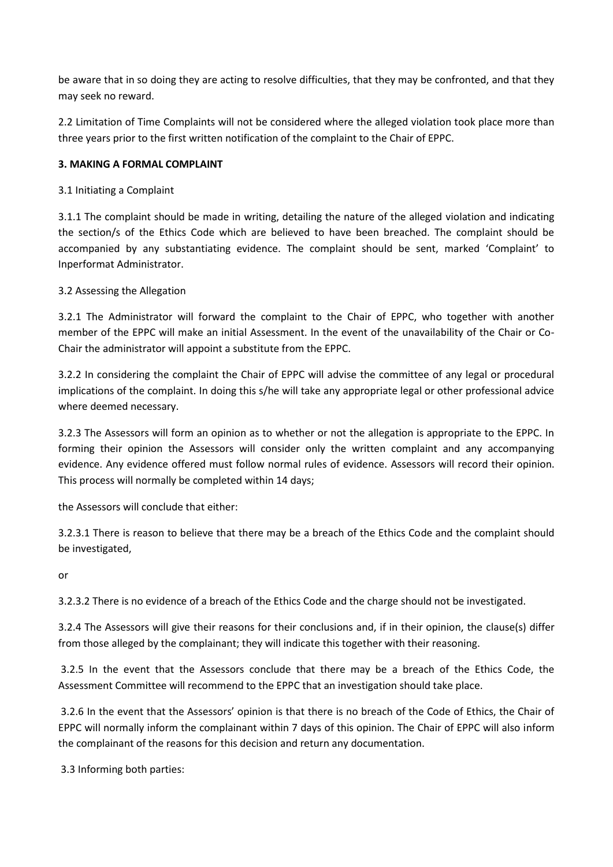be aware that in so doing they are acting to resolve difficulties, that they may be confronted, and that they may seek no reward.

2.2 Limitation of Time Complaints will not be considered where the alleged violation took place more than three years prior to the first written notification of the complaint to the Chair of EPPC.

### **3. MAKING A FORMAL COMPLAINT**

3.1 Initiating a Complaint

3.1.1 The complaint should be made in writing, detailing the nature of the alleged violation and indicating the section/s of the Ethics Code which are believed to have been breached. The complaint should be accompanied by any substantiating evidence. The complaint should be sent, marked 'Complaint' to Inperformat Administrator.

## 3.2 Assessing the Allegation

3.2.1 The Administrator will forward the complaint to the Chair of EPPC, who together with another member of the EPPC will make an initial Assessment. In the event of the unavailability of the Chair or Co-Chair the administrator will appoint a substitute from the EPPC.

3.2.2 In considering the complaint the Chair of EPPC will advise the committee of any legal or procedural implications of the complaint. In doing this s/he will take any appropriate legal or other professional advice where deemed necessary.

3.2.3 The Assessors will form an opinion as to whether or not the allegation is appropriate to the EPPC. In forming their opinion the Assessors will consider only the written complaint and any accompanying evidence. Any evidence offered must follow normal rules of evidence. Assessors will record their opinion. This process will normally be completed within 14 days;

the Assessors will conclude that either:

3.2.3.1 There is reason to believe that there may be a breach of the Ethics Code and the complaint should be investigated,

or

3.2.3.2 There is no evidence of a breach of the Ethics Code and the charge should not be investigated.

3.2.4 The Assessors will give their reasons for their conclusions and, if in their opinion, the clause(s) differ from those alleged by the complainant; they will indicate this together with their reasoning.

3.2.5 In the event that the Assessors conclude that there may be a breach of the Ethics Code, the Assessment Committee will recommend to the EPPC that an investigation should take place.

3.2.6 In the event that the Assessors' opinion is that there is no breach of the Code of Ethics, the Chair of EPPC will normally inform the complainant within 7 days of this opinion. The Chair of EPPC will also inform the complainant of the reasons for this decision and return any documentation.

3.3 Informing both parties: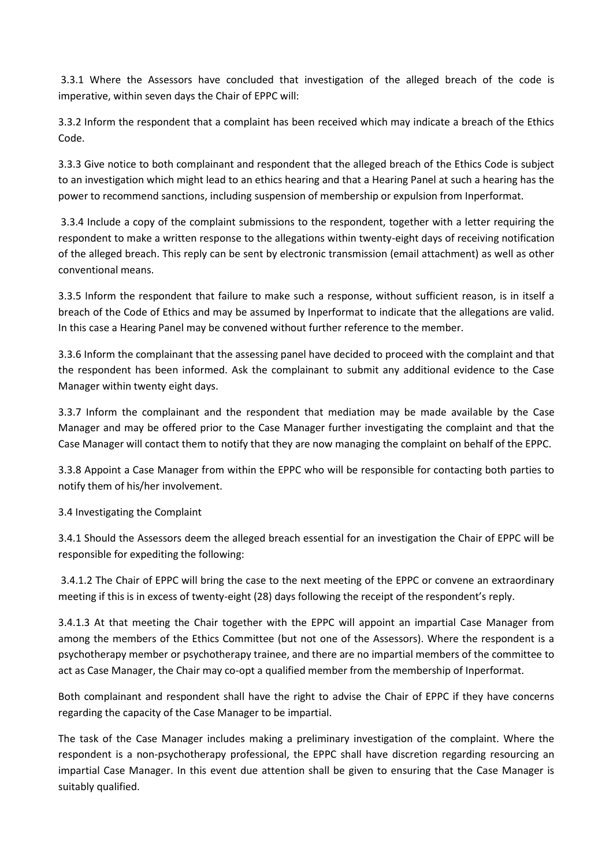3.3.1 Where the Assessors have concluded that investigation of the alleged breach of the code is imperative, within seven days the Chair of EPPC will:

3.3.2 Inform the respondent that a complaint has been received which may indicate a breach of the Ethics Code.

3.3.3 Give notice to both complainant and respondent that the alleged breach of the Ethics Code is subject to an investigation which might lead to an ethics hearing and that a Hearing Panel at such a hearing has the power to recommend sanctions, including suspension of membership or expulsion from Inperformat.

3.3.4 Include a copy of the complaint submissions to the respondent, together with a letter requiring the respondent to make a written response to the allegations within twenty-eight days of receiving notification of the alleged breach. This reply can be sent by electronic transmission (email attachment) as well as other conventional means.

3.3.5 Inform the respondent that failure to make such a response, without sufficient reason, is in itself a breach of the Code of Ethics and may be assumed by Inperformat to indicate that the allegations are valid. In this case a Hearing Panel may be convened without further reference to the member.

3.3.6 Inform the complainant that the assessing panel have decided to proceed with the complaint and that the respondent has been informed. Ask the complainant to submit any additional evidence to the Case Manager within twenty eight days.

3.3.7 Inform the complainant and the respondent that mediation may be made available by the Case Manager and may be offered prior to the Case Manager further investigating the complaint and that the Case Manager will contact them to notify that they are now managing the complaint on behalf of the EPPC.

3.3.8 Appoint a Case Manager from within the EPPC who will be responsible for contacting both parties to notify them of his/her involvement.

3.4 Investigating the Complaint

3.4.1 Should the Assessors deem the alleged breach essential for an investigation the Chair of EPPC will be responsible for expediting the following:

3.4.1.2 The Chair of EPPC will bring the case to the next meeting of the EPPC or convene an extraordinary meeting if this is in excess of twenty-eight (28) days following the receipt of the respondent's reply.

3.4.1.3 At that meeting the Chair together with the EPPC will appoint an impartial Case Manager from among the members of the Ethics Committee (but not one of the Assessors). Where the respondent is a psychotherapy member or psychotherapy trainee, and there are no impartial members of the committee to act as Case Manager, the Chair may co-opt a qualified member from the membership of Inperformat.

Both complainant and respondent shall have the right to advise the Chair of EPPC if they have concerns regarding the capacity of the Case Manager to be impartial.

The task of the Case Manager includes making a preliminary investigation of the complaint. Where the respondent is a non-psychotherapy professional, the EPPC shall have discretion regarding resourcing an impartial Case Manager. In this event due attention shall be given to ensuring that the Case Manager is suitably qualified.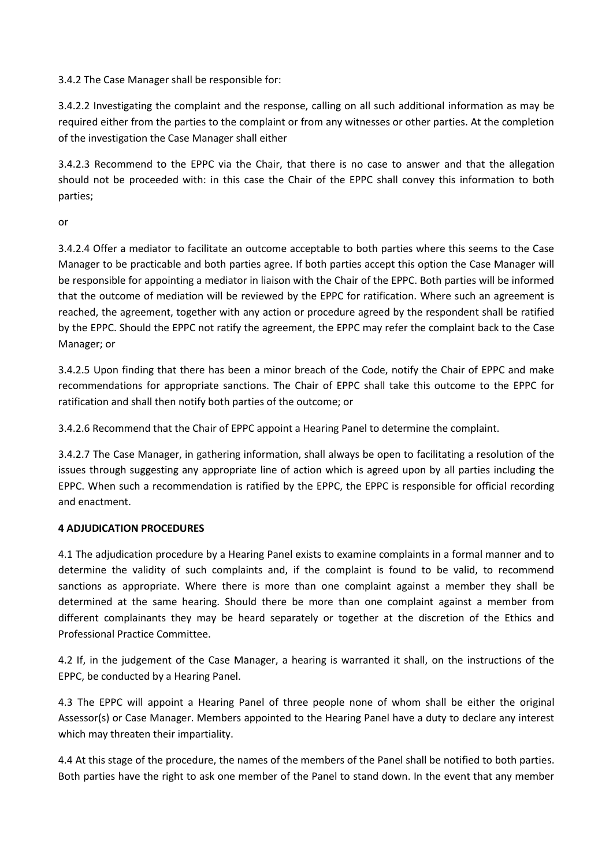3.4.2 The Case Manager shall be responsible for:

3.4.2.2 Investigating the complaint and the response, calling on all such additional information as may be required either from the parties to the complaint or from any witnesses or other parties. At the completion of the investigation the Case Manager shall either

3.4.2.3 Recommend to the EPPC via the Chair, that there is no case to answer and that the allegation should not be proceeded with: in this case the Chair of the EPPC shall convey this information to both parties;

or

3.4.2.4 Offer a mediator to facilitate an outcome acceptable to both parties where this seems to the Case Manager to be practicable and both parties agree. If both parties accept this option the Case Manager will be responsible for appointing a mediator in liaison with the Chair of the EPPC. Both parties will be informed that the outcome of mediation will be reviewed by the EPPC for ratification. Where such an agreement is reached, the agreement, together with any action or procedure agreed by the respondent shall be ratified by the EPPC. Should the EPPC not ratify the agreement, the EPPC may refer the complaint back to the Case Manager; or

3.4.2.5 Upon finding that there has been a minor breach of the Code, notify the Chair of EPPC and make recommendations for appropriate sanctions. The Chair of EPPC shall take this outcome to the EPPC for ratification and shall then notify both parties of the outcome; or

3.4.2.6 Recommend that the Chair of EPPC appoint a Hearing Panel to determine the complaint.

3.4.2.7 The Case Manager, in gathering information, shall always be open to facilitating a resolution of the issues through suggesting any appropriate line of action which is agreed upon by all parties including the EPPC. When such a recommendation is ratified by the EPPC, the EPPC is responsible for official recording and enactment.

#### **4 ADJUDICATION PROCEDURES**

4.1 The adjudication procedure by a Hearing Panel exists to examine complaints in a formal manner and to determine the validity of such complaints and, if the complaint is found to be valid, to recommend sanctions as appropriate. Where there is more than one complaint against a member they shall be determined at the same hearing. Should there be more than one complaint against a member from different complainants they may be heard separately or together at the discretion of the Ethics and Professional Practice Committee.

4.2 If, in the judgement of the Case Manager, a hearing is warranted it shall, on the instructions of the EPPC, be conducted by a Hearing Panel.

4.3 The EPPC will appoint a Hearing Panel of three people none of whom shall be either the original Assessor(s) or Case Manager. Members appointed to the Hearing Panel have a duty to declare any interest which may threaten their impartiality.

4.4 At this stage of the procedure, the names of the members of the Panel shall be notified to both parties. Both parties have the right to ask one member of the Panel to stand down. In the event that any member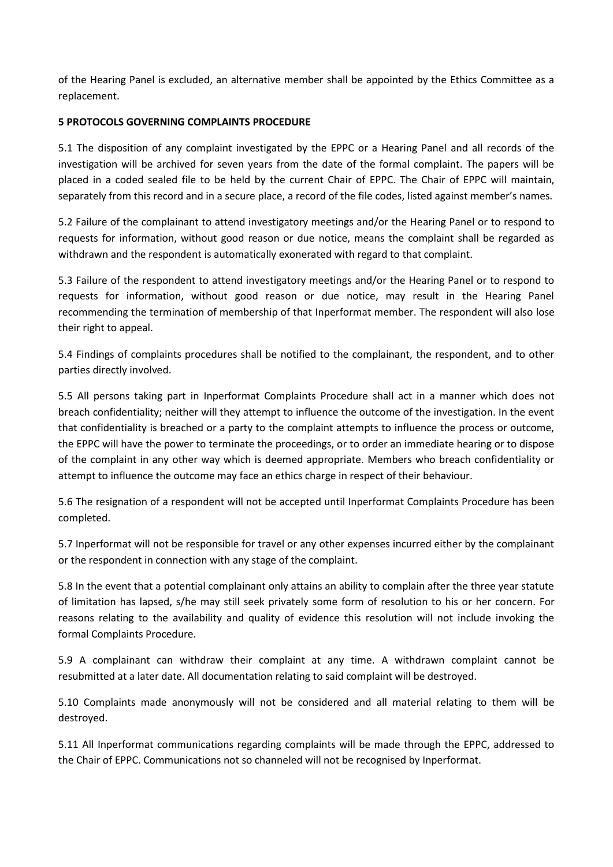of the Hearing Panel is excluded, an alternative member shall be appointed by the Ethics Committee as a replacement.

#### **5 PROTOCOLS GOVERNING COMPLAINTS PROCEDURE**

5.1 The disposition of any complaint investigated by the EPPC or a Hearing Panel and all records of the investigation will be archived for seven years from the date of the formal complaint. The papers will be placed in a coded sealed file to be held by the current Chair of EPPC. The Chair of EPPC will maintain, separately from this record and in a secure place, a record of the file codes, listed against member's names.

5.2 Failure of the complainant to attend investigatory meetings and/or the Hearing Panel or to respond to requests for information, without good reason or due notice, means the complaint shall be regarded as withdrawn and the respondent is automatically exonerated with regard to that complaint.

5.3 Failure of the respondent to attend investigatory meetings and/or the Hearing Panel or to respond to requests for information, without good reason or due notice, may result in the Hearing Panel recommending the termination of membership of that Inperformat member. The respondent will also lose their right to appeal.

5.4 Findings of complaints procedures shall be notified to the complainant, the respondent, and to other parties directly involved.

5.5 All persons taking part in Inperformat Complaints Procedure shall act in a manner which does not breach confidentiality; neither will they attempt to influence the outcome of the investigation. In the event that confidentiality is breached or a party to the complaint attempts to influence the process or outcome, the EPPC will have the power to terminate the proceedings, or to order an immediate hearing or to dispose of the complaint in any other way which is deemed appropriate. Members who breach confidentiality or attempt to influence the outcome may face an ethics charge in respect of their behaviour.

5.6 The resignation of a respondent will not be accepted until Inperformat Complaints Procedure has been completed.

5.7 Inperformat will not be responsible for travel or any other expenses incurred either by the complainant or the respondent in connection with any stage of the complaint.

5.8 In the event that a potential complainant only attains an ability to complain after the three year statute of limitation has lapsed, s/he may still seek privately some form of resolution to his or her concern. For reasons relating to the availability and quality of evidence this resolution will not include invoking the formal Complaints Procedure.

5.9 A complainant can withdraw their complaint at any time. A withdrawn complaint cannot be resubmitted at a later date. All documentation relating to said complaint will be destroyed.

5.10 Complaints made anonymously will not be considered and all material relating to them will be destroyed.

5.11 All Inperformat communications regarding complaints will be made through the EPPC, addressed to the Chair of EPPC. Communications not so channeled will not be recognised by Inperformat.